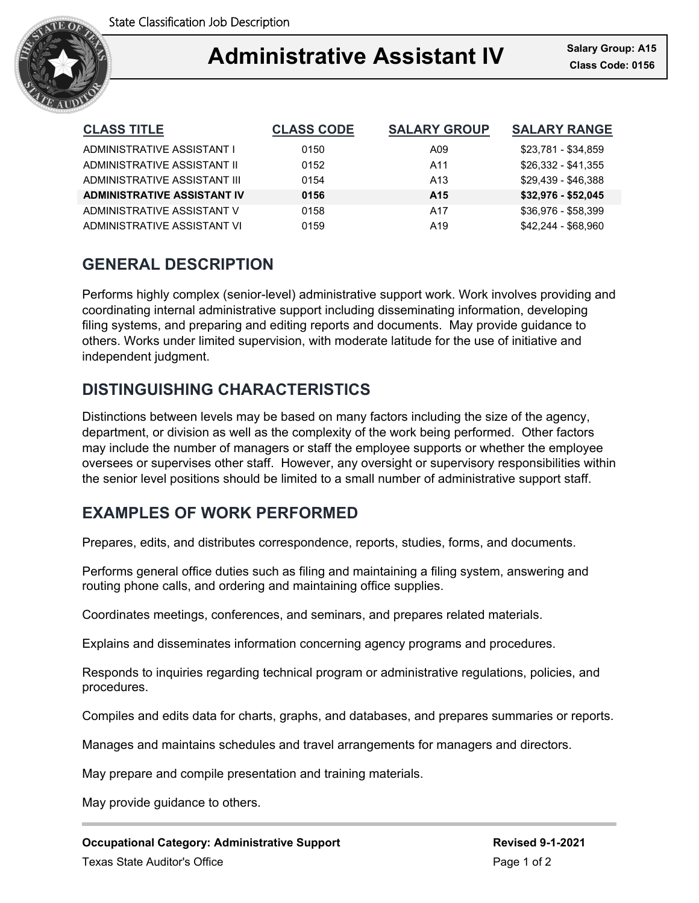

### Ξ **Administrative Assistant IV Class Code: 0156**

| <b>CLASS TITLE</b>                 | <b>CLASS CODE</b> | <b>SALARY GROUP</b> | <b>SALARY RANGE</b> |
|------------------------------------|-------------------|---------------------|---------------------|
| ADMINISTRATIVE ASSISTANT I         | 0150              | A09                 | \$23.781 - \$34.859 |
| ADMINISTRATIVE ASSISTANT II        | 0152              | A11                 | \$26,332 - \$41,355 |
| ADMINISTRATIVE ASSISTANT III       | 0154              | A <sub>13</sub>     | \$29.439 - \$46.388 |
| <b>ADMINISTRATIVE ASSISTANT IV</b> | 0156              | A <sub>15</sub>     | $$32,976 - $52,045$ |
| ADMINISTRATIVE ASSISTANT V         | 0158              | A17                 | \$36.976 - \$58.399 |
| ADMINISTRATIVE ASSISTANT VI        | 0159              | A <sub>19</sub>     | \$42,244 - \$68,960 |

## **GENERAL DESCRIPTION**

Performs highly complex (senior-level) administrative support work. Work involves providing and coordinating internal administrative support including disseminating information, developing filing systems, and preparing and editing reports and documents. May provide guidance to others. Works under limited supervision, with moderate latitude for the use of initiative and independent judgment.

# **DISTINGUISHING CHARACTERISTICS**

Distinctions between levels may be based on many factors including the size of the agency, department, or division as well as the complexity of the work being performed. Other factors may include the number of managers or staff the employee supports or whether the employee oversees or supervises other staff. However, any oversight or supervisory responsibilities within the senior level positions should be limited to a small number of administrative support staff.

## **EXAMPLES OF WORK PERFORMED**

Prepares, edits, and distributes correspondence, reports, studies, forms, and documents.

Performs general office duties such as filing and maintaining a filing system, answering and routing phone calls, and ordering and maintaining office supplies.

Coordinates meetings, conferences, and seminars, and prepares related materials.

Explains and disseminates information concerning agency programs and procedures.

Responds to inquiries regarding technical program or administrative regulations, policies, and procedures.

Compiles and edits data for charts, graphs, and databases, and prepares summaries or reports.

Manages and maintains schedules and travel arrangements for managers and directors.

May prepare and compile presentation and training materials.

May provide guidance to others.

**Occupational Category: Administrative Support Revised 9-1-2021** Texas State Auditor's Office **Page 1 of 2** and 2